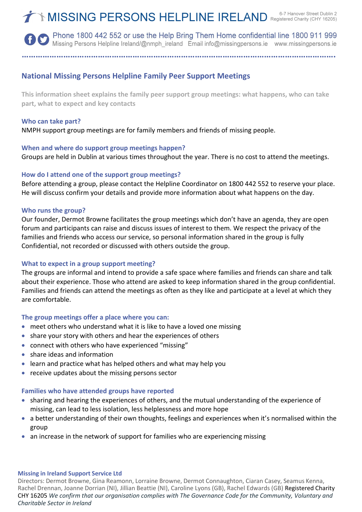**OD** Phone 1800 442 552 or use the Help Bring Them Home confidential line 1800 911 999 Missing Persons Helpline Ireland/@nmph\_ireland Email info@missingpersons.ie www.missingpersons.ie

**……………………………………………………………………………………………………………………….**

# **National Missing Persons Helpline Family Peer Support Meetings**

**This information sheet explains the family peer support group meetings: what happens, who can take part, what to expect and key contacts**

#### **Who can take part?**

NMPH support group meetings are for family members and friends of missing people.

## **When and where do support group meetings happen?**

Groups are held in Dublin at various times throughout the year. There is no cost to attend the meetings.

## **How do I attend one of the support group meetings?**

Before attending a group, please contact the Helpline Coordinator on 1800 442 552 to reserve your place. He will discuss confirm your details and provide more information about what happens on the day.

## **Who runs the group?**

Our founder, Dermot Browne facilitates the group meetings which don't have an agenda, they are open forum and participants can raise and discuss issues of interest to them. We respect the privacy of the families and friends who access our service, so personal information shared in the group is fully Confidential, not recorded or discussed with others outside the group.

## **What to expect in a group support meeting?**

The groups are informal and intend to provide a safe space where families and friends can share and talk about their experience. Those who attend are asked to keep information shared in the group confidential. Families and friends can attend the meetings as often as they like and participate at a level at which they are comfortable.

## **The group meetings offer a place where you can:**

- meet others who understand what it is like to have a loved one missing
- share your story with others and hear the experiences of others
- connect with others who have experienced "missing"
- share ideas and information
- learn and practice what has helped others and what may help you
- receive updates about the missing persons sector

## **Families who have attended groups have reported**

- sharing and hearing the experiences of others, and the mutual understanding of the experience of missing, can lead to less isolation, less helplessness and more hope
- a better understanding of their own thoughts, feelings and experiences when it's normalised within the group
- an increase in the network of support for families who are experiencing missing

#### **Missing in Ireland Support Service Ltd**

Directors: Dermot Browne, Gina Reamonn, Lorraine Browne, Dermot Connaughton, Ciaran Casey, Seamus Kenna, Rachel Drennan, Joanne Dorrian (NI), Jillian Beattie (NI), Caroline Lyons (GB), Rachel Edwards (GB) Registered Charity CHY 16205 *We confirm that our organisation complies with The Governance Code for the Community, Voluntary and Charitable Sector in Ireland*